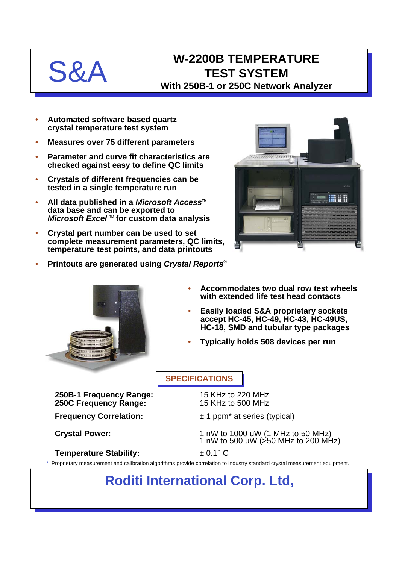# $S_{\mathcal{R}}$

### **W-2200B TEMPERATURE TEST SYSTEM With 250B-1 or 250C Network Analyzer**

- **Automated software based quartz crystal temperature test system**
- **Measures over 75 different parameters**
- **Parameter and curve fit characteristics are checked against easy to define QC limits**
- **Crystals of different frequencies can be tested in a single temperature run**
- **All data published in a** *Microsoft Access***<sup>™</sup> data base and can be exported to** *Microsoft Excel* ™ for custom data analysis
- **Crystal part number can be used to set complete measurement parameters, QC limits, temperature test points, and data printouts**
- **Printouts are generated using** *Crystal Reports*®





- **Accommodates two dual row test wheels with extended life test head contacts**
- **Easily loaded S&A proprietary sockets accept HC-45, HC-49, HC-43, HC-49US, HC-18, SMD and tubular type packages**
- **Typically holds 508 devices per run**

#### **SPECIFICATIONS**

**250B-1 Frequency Range:** 15 KHz to 220 MHz **250C Frequency Range:** 

**Frequency Correlation:**  $\pm 1$  ppm<sup>\*</sup> at series (typical)

**Crystal Power:** 1 nW to 1000 uW (1 MHz to 50 MHz) 1 nW to 500 uW (>50 MHz to 200 MHz)

#### **Temperature Stability:** ± 0.1° C

Proprietary measurement and calibration algorithms provide correlation to industry standard crystal measurement equipment.

## **Roditi International Corp. Ltd,**